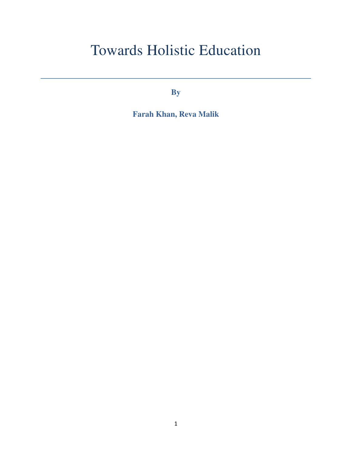# Towards Holistic Education

**By** 

**Farah Khan, Reva Malik**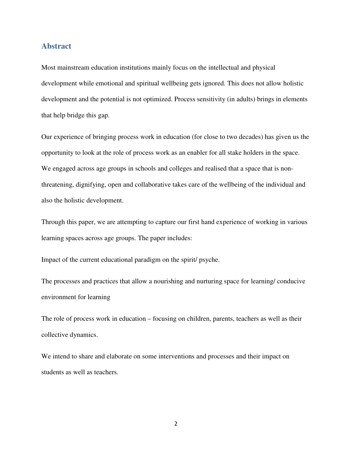#### **Abstract**

Most mainstream education institutions mainly focus on the intellectual and physical development while emotional and spiritual wellbeing gets ignored. This does not allow holistic development and the potential is not optimized. Process sensitivity (in adults) brings in elements that help bridge this gap.

Our experience of bringing process work in education (for close to two decades) has given us the opportunity to look at the role of process work as an enabler for all stake holders in the space. We engaged across age groups in schools and colleges and realised that a space that is nonthreatening, dignifying, open and collaborative takes care of the wellbeing of the individual and also the holistic development.

Through this paper, we are attempting to capture our first hand experience of working in various learning spaces across age groups. The paper includes:

Impact of the current educational paradigm on the spirit/ psyche.

The processes and practices that allow a nourishing and nurturing space for learning/ conducive environment for learning

The role of process work in education – focusing on children, parents, teachers as well as their collective dynamics.

We intend to share and elaborate on some interventions and processes and their impact on students as well as teachers.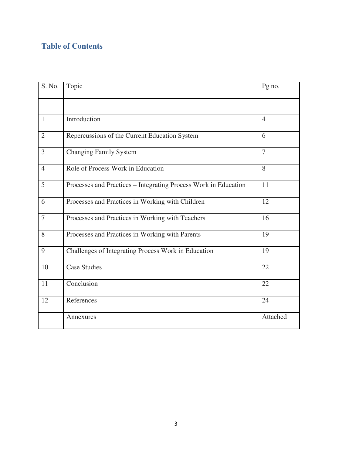# **Table of Contents**

| S. No.         | Topic                                                           | Pg no.         |
|----------------|-----------------------------------------------------------------|----------------|
|                |                                                                 |                |
| $\mathbf{1}$   | Introduction                                                    | $\overline{4}$ |
| $\overline{2}$ | Repercussions of the Current Education System                   | 6              |
| 3              | <b>Changing Family System</b>                                   | $\overline{7}$ |
| $\overline{4}$ | Role of Process Work in Education                               | 8              |
| 5              | Processes and Practices - Integrating Process Work in Education | 11             |
| 6              | Processes and Practices in Working with Children                | 12             |
| $\overline{7}$ | Processes and Practices in Working with Teachers                | 16             |
| 8              | Processes and Practices in Working with Parents                 | 19             |
| 9              | Challenges of Integrating Process Work in Education             | 19             |
| 10             | <b>Case Studies</b>                                             | 22             |
| 11             | Conclusion                                                      | 22             |
| 12             | References                                                      | 24             |
|                | Annexures                                                       | Attached       |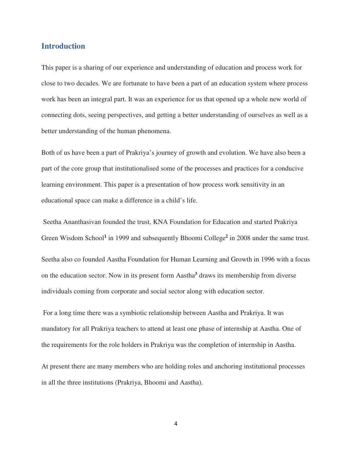## **Introduction**

This paper is a sharing of our experience and understanding of education and process work for close to two decades. We are fortunate to have been a part of an education system where process work has been an integral part. It was an experience for us that opened up a whole new world of connecting dots, seeing perspectives, and getting a better understanding of ourselves as well as a better understanding of the human phenomena.

Both of us have been a part of Prakriya's journey of growth and evolution. We have also been a part of the core group that institutionalised some of the processes and practices for a conducive learning environment. This paper is a presentation of how process work sensitivity in an educational space can make a difference in a child's life.

 Seetha Ananthasivan founded the trust, KNA Foundation for Education and started Prakriya Green Wisdom School<sup>1</sup> in 1999 and subsequently Bhoomi College<sup>2</sup> in 2008 under the same trust.

Seetha also co founded Aastha Foundation for Human Learning and Growth in 1996 with a focus on the education sector. Now in its present form Aastha**<sup>3</sup>** draws its membership from diverse individuals coming from corporate and social sector along with education sector.

 For a long time there was a symbiotic relationship between Aastha and Prakriya. It was mandatory for all Prakriya teachers to attend at least one phase of internship at Aastha. One of the requirements for the role holders in Prakriya was the completion of internship in Aastha.

At present there are many members who are holding roles and anchoring institutional processes in all the three institutions (Prakriya, Bhoomi and Aastha).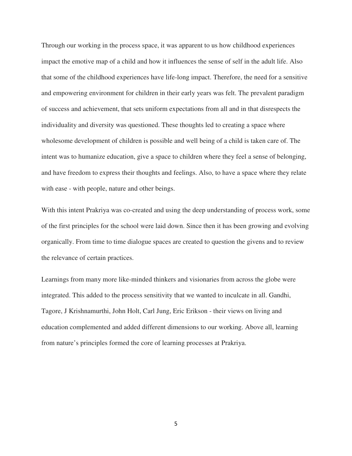Through our working in the process space, it was apparent to us how childhood experiences impact the emotive map of a child and how it influences the sense of self in the adult life. Also that some of the childhood experiences have life-long impact. Therefore, the need for a sensitive and empowering environment for children in their early years was felt. The prevalent paradigm of success and achievement, that sets uniform expectations from all and in that disrespects the individuality and diversity was questioned. These thoughts led to creating a space where wholesome development of children is possible and well being of a child is taken care of. The intent was to humanize education, give a space to children where they feel a sense of belonging, and have freedom to express their thoughts and feelings. Also, to have a space where they relate with ease - with people, nature and other beings.

With this intent Prakriya was co-created and using the deep understanding of process work, some of the first principles for the school were laid down. Since then it has been growing and evolving organically. From time to time dialogue spaces are created to question the givens and to review the relevance of certain practices.

Learnings from many more like-minded thinkers and visionaries from across the globe were integrated. This added to the process sensitivity that we wanted to inculcate in all. Gandhi, Tagore, J Krishnamurthi, John Holt, Carl Jung, Eric Erikson - their views on living and education complemented and added different dimensions to our working. Above all, learning from nature's principles formed the core of learning processes at Prakriya.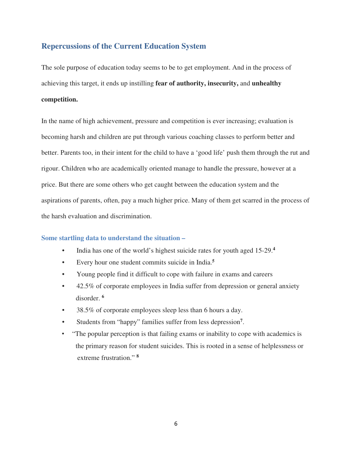# **Repercussions of the Current Education System**

The sole purpose of education today seems to be to get employment. And in the process of achieving this target, it ends up instilling **fear of authority, insecurity,** and **unhealthy competition.** 

In the name of high achievement, pressure and competition is ever increasing; evaluation is becoming harsh and children are put through various coaching classes to perform better and better. Parents too, in their intent for the child to have a 'good life' push them through the rut and rigour. Children who are academically oriented manage to handle the pressure, however at a price. But there are some others who get caught between the education system and the aspirations of parents, often, pay a much higher price. Many of them get scarred in the process of the harsh evaluation and discrimination.

#### **Some startling data to understand the situation –**

- India has one of the world's highest suicide rates for youth aged 15-29.**<sup>4</sup>**
- Every hour one student commits suicide in India.**<sup>5</sup>**
- Young people find it difficult to cope with failure in exams and careers
- 42.5% of corporate employees in India suffer from depression or general anxiety disorder. **<sup>6</sup>**
- 38.5% of corporate employees sleep less than 6 hours a day.
- Students from "happy" families suffer from less depression**<sup>7</sup>** .
- "The popular perception is that failing exams or inability to cope with academics is the primary reason for student suicides. This is rooted in a sense of helplessness or extreme frustration." **8**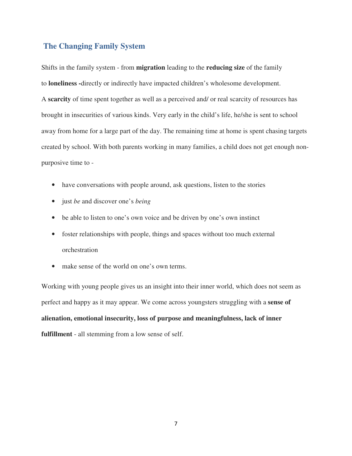# **The Changing Family System**

Shifts in the family system - from **migration** leading to the **reducing size** of the family to **loneliness -**directly or indirectly have impacted children's wholesome development. A **scarcity** of time spent together as well as a perceived and/ or real scarcity of resources has brought in insecurities of various kinds. Very early in the child's life, he/she is sent to school away from home for a large part of the day. The remaining time at home is spent chasing targets created by school. With both parents working in many families, a child does not get enough nonpurposive time to -

- have conversations with people around, ask questions, listen to the stories
- just *be* and discover one's *being*
- be able to listen to one's own voice and be driven by one's own instinct
- foster relationships with people, things and spaces without too much external orchestration
- make sense of the world on one's own terms.

Working with young people gives us an insight into their inner world, which does not seem as perfect and happy as it may appear. We come across youngsters struggling with a **sense of alienation, emotional insecurity, loss of purpose and meaningfulness, lack of inner fulfillment** - all stemming from a low sense of self.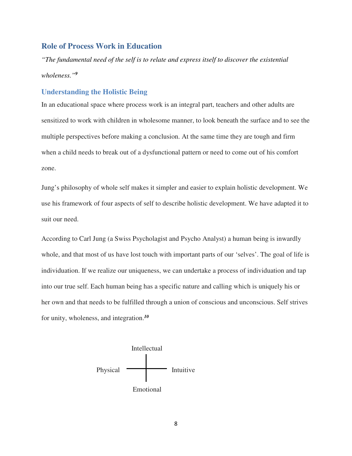## **Role of Process Work in Education**

*"The fundamental need of the self is to relate and express itself to discover the existential wholeness."<sup>9</sup>*

#### **Understanding the Holistic Being**

In an educational space where process work is an integral part, teachers and other adults are sensitized to work with children in wholesome manner, to look beneath the surface and to see the multiple perspectives before making a conclusion. At the same time they are tough and firm when a child needs to break out of a dysfunctional pattern or need to come out of his comfort zone.

Jung's philosophy of whole self makes it simpler and easier to explain holistic development. We use his framework of four aspects of self to describe holistic development. We have adapted it to suit our need.

According to Carl Jung (a Swiss Psycholagist and Psycho Analyst) a human being is inwardly whole, and that most of us have lost touch with important parts of our 'selves'. The goal of life is individuation. If we realize our uniqueness, we can undertake a process of individuation and tap into our true self. Each human being has a specific nature and calling which is uniquely his or her own and that needs to be fulfilled through a union of conscious and unconscious. Self strives for unity, wholeness, and integration.*<sup>10</sup>*

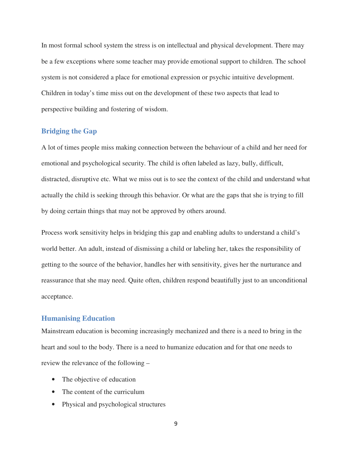In most formal school system the stress is on intellectual and physical development. There may be a few exceptions where some teacher may provide emotional support to children. The school system is not considered a place for emotional expression or psychic intuitive development. Children in today's time miss out on the development of these two aspects that lead to perspective building and fostering of wisdom.

#### **Bridging the Gap**

A lot of times people miss making connection between the behaviour of a child and her need for emotional and psychological security. The child is often labeled as lazy, bully, difficult, distracted, disruptive etc. What we miss out is to see the context of the child and understand what actually the child is seeking through this behavior. Or what are the gaps that she is trying to fill by doing certain things that may not be approved by others around.

Process work sensitivity helps in bridging this gap and enabling adults to understand a child's world better. An adult, instead of dismissing a child or labeling her, takes the responsibility of getting to the source of the behavior, handles her with sensitivity, gives her the nurturance and reassurance that she may need. Quite often, children respond beautifully just to an unconditional acceptance.

## **Humanising Education**

Mainstream education is becoming increasingly mechanized and there is a need to bring in the heart and soul to the body. There is a need to humanize education and for that one needs to review the relevance of the following –

- The objective of education
- The content of the curriculum
- Physical and psychological structures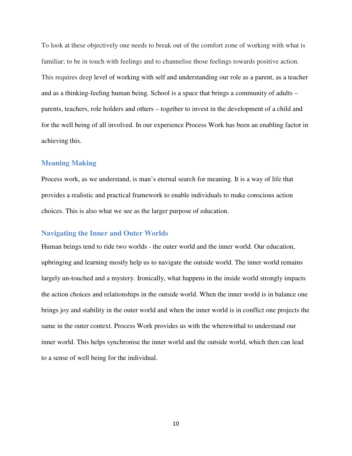To look at these objectively one needs to break out of the comfort zone of working with what is familiar; to be in touch with feelings and to channelise those feelings towards positive action. This requires deep level of working with self and understanding our role as a parent, as a teacher and as a thinking-feeling human being. School is a space that brings a community of adults – parents, teachers, role holders and others – together to invest in the development of a child and for the well being of all involved. In our experience Process Work has been an enabling factor in achieving this.

#### **Meaning Making**

Process work, as we understand, is man's eternal search for meaning. It is a way of life that provides a realistic and practical framework to enable individuals to make conscious action choices. This is also what we see as the larger purpose of education.

#### **Navigating the Inner and Outer Worlds**

Human beings tend to ride two worlds - the outer world and the inner world. Our education, upbringing and learning mostly help us to navigate the outside world. The inner world remains largely un-touched and a mystery. Ironically, what happens in the inside world strongly impacts the action choices and relationships in the outside world. When the inner world is in balance one brings joy and stability in the outer world and when the inner world is in conflict one projects the same in the outer context. Process Work provides us with the wherewithal to understand our inner world. This helps synchronise the inner world and the outside world, which then can lead to a sense of well being for the individual.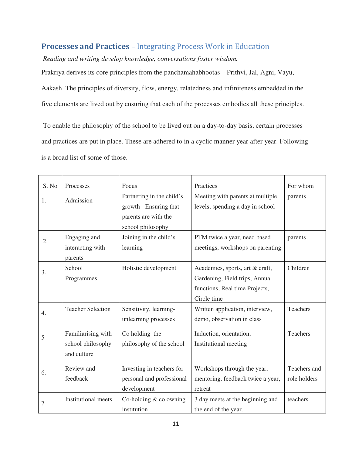# **Processes and Practices** – Integrating Process Work in Education

*Reading and writing develop knowledge, conversations foster wisdom.*

Prakriya derives its core principles from the panchamahabhootas – Prithvi, Jal, Agni, Vayu, Aakash. The principles of diversity, flow, energy, relatedness and infiniteness embedded in the five elements are lived out by ensuring that each of the processes embodies all these principles.

 To enable the philosophy of the school to be lived out on a day-to-day basis, certain processes and practices are put in place. These are adhered to in a cyclic manner year after year. Following is a broad list of some of those.

| S. No          | Processes                                              | Focus                                                                                            | Practices                                                                                                          | For whom                     |
|----------------|--------------------------------------------------------|--------------------------------------------------------------------------------------------------|--------------------------------------------------------------------------------------------------------------------|------------------------------|
| 1.             | Admission                                              | Partnering in the child's<br>growth - Ensuring that<br>parents are with the<br>school philosophy | Meeting with parents at multiple<br>levels, spending a day in school                                               | parents                      |
| 2.             | Engaging and<br>interacting with<br>parents            | Joining in the child's<br>learning                                                               | PTM twice a year, need based<br>meetings, workshops on parenting                                                   | parents                      |
| 3.             | School<br>Programmes                                   | Holistic development                                                                             | Academics, sports, art & craft,<br>Gardening, Field trips, Annual<br>functions, Real time Projects,<br>Circle time | Children                     |
| 4.             | <b>Teacher Selection</b>                               | Sensitivity, learning-<br>unlearning processes                                                   | Written application, interview,<br>demo, observation in class                                                      | Teachers                     |
| 5              | Familiarising with<br>school philosophy<br>and culture | Co holding the<br>philosophy of the school                                                       | Induction, orientation,<br>Institutional meeting                                                                   | Teachers                     |
| 6.             | Review and<br>feedback                                 | Investing in teachers for<br>personal and professional<br>development                            | Workshops through the year,<br>mentoring, feedback twice a year,<br>retreat                                        | Teachers and<br>role holders |
| $\overline{7}$ | <b>Institutional meets</b>                             | Co-holding $&$ co owning<br>institution                                                          | 3 day meets at the beginning and<br>the end of the year.                                                           | teachers                     |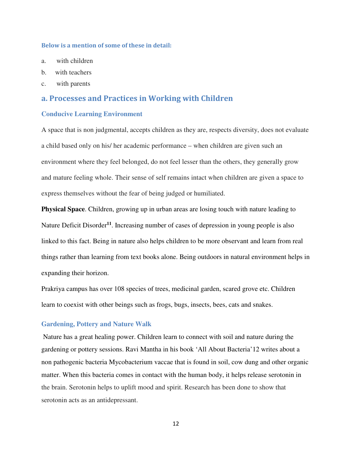#### **Below is a mention of some of these in detail:**

- a. with children
- b. with teachers
- c. with parents

## **a. Processes and Practices in Working with Children**

#### **Conducive Learning Environment**

A space that is non judgmental, accepts children as they are, respects diversity, does not evaluate a child based only on his/ her academic performance – when children are given such an environment where they feel belonged, do not feel lesser than the others, they generally grow and mature feeling whole. Their sense of self remains intact when children are given a space to express themselves without the fear of being judged or humiliated.

**Physical Space**. Children, growing up in urban areas are losing touch with nature leading to Nature Deficit Disorder**<sup>11</sup>**. Increasing number of cases of depression in young people is also linked to this fact. Being in nature also helps children to be more observant and learn from real things rather than learning from text books alone. Being outdoors in natural environment helps in expanding their horizon.

Prakriya campus has over 108 species of trees, medicinal garden, scared grove etc. Children learn to coexist with other beings such as frogs, bugs, insects, bees, cats and snakes.

#### **Gardening, Pottery and Nature Walk**

Nature has a great healing power. Children learn to connect with soil and nature during the gardening or pottery sessions. Ravi Mantha in his book 'All About Bacteria'12 writes about a non pathogenic bacteria Mycobacterium vaccae that is found in soil, cow dung and other organic matter. When this bacteria comes in contact with the human body, it helps release serotonin in the brain. Serotonin helps to uplift mood and spirit. Research has been done to show that serotonin acts as an antidepressant.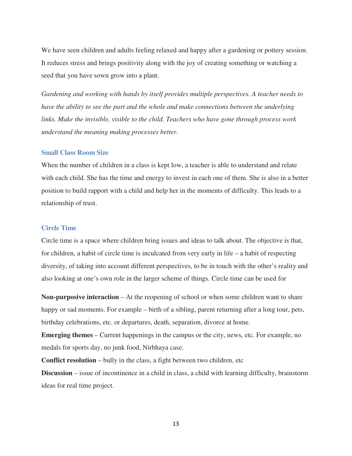We have seen children and adults feeling relaxed and happy after a gardening or pottery session. It reduces stress and brings positivity along with the joy of creating something or watching a seed that you have sown grow into a plant.

*Gardening and working with hands by itself provides multiple perspectives. A teacher needs to have the ability to see the part and the whole and make connections between the underlying links. Make the invisible, visible to the child. Teachers who have gone through process work understand the meaning making processes better*.

#### **Small Class Room Size**

When the number of children in a class is kept low, a teacher is able to understand and relate with each child. She has the time and energy to invest in each one of them. She is also in a better position to build rapport with a child and help her in the moments of difficulty. This leads to a relationship of trust.

## **Circle Time**

Circle time is a space where children bring issues and ideas to talk about. The objective is that, for children, a habit of circle time is inculcated from very early in life – a habit of respecting diversity, of taking into account different perspectives, to be in touch with the other's reality and also looking at one's own role in the larger scheme of things. Circle time can be used for

**Non-purposive interaction** – At the reopening of school or when some children want to share happy or sad moments. For example – birth of a sibling, parent returning after a long tour, pets, birthday celebrations, etc. or departures, death, separation, divorce at home.

**Emerging themes** – Current happenings in the campus or the city, news, etc. For example, no medals for sports day, no junk food, Nirbhaya case.

**Conflict resolution** – bully in the class, a fight between two children, etc

**Discussion** – issue of incontinence in a child in class, a child with learning difficulty, brainstorm ideas for real time project.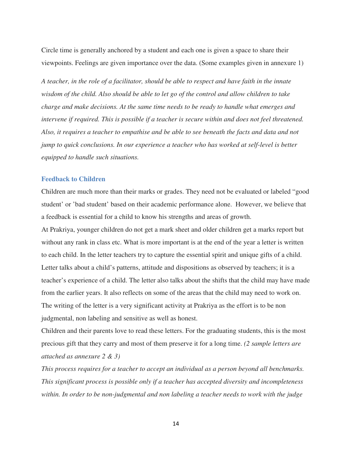Circle time is generally anchored by a student and each one is given a space to share their viewpoints. Feelings are given importance over the data. (Some examples given in annexure 1)

*A teacher, in the role of a facilitator, should be able to respect and have faith in the innate wisdom of the child. Also should be able to let go of the control and allow children to take charge and make decisions. At the same time needs to be ready to handle what emerges and intervene if required. This is possible if a teacher is secure within and does not feel threatened. Also, it requires a teacher to empathise and be able to see beneath the facts and data and not jump to quick conclusions. In our experience a teacher who has worked at self-level is better equipped to handle such situations.* 

#### **Feedback to Children**

Children are much more than their marks or grades. They need not be evaluated or labeled "good student' or 'bad student' based on their academic performance alone. However, we believe that a feedback is essential for a child to know his strengths and areas of growth.

At Prakriya, younger children do not get a mark sheet and older children get a marks report but without any rank in class etc. What is more important is at the end of the year a letter is written to each child. In the letter teachers try to capture the essential spirit and unique gifts of a child. Letter talks about a child's patterns, attitude and dispositions as observed by teachers; it is a teacher's experience of a child. The letter also talks about the shifts that the child may have made from the earlier years. It also reflects on some of the areas that the child may need to work on. The writing of the letter is a very significant activity at Prakriya as the effort is to be non judgmental, non labeling and sensitive as well as honest.

Children and their parents love to read these letters. For the graduating students, this is the most precious gift that they carry and most of them preserve it for a long time. *(2 sample letters are attached as annexure 2 & 3)*

*This process requires for a teacher to accept an individual as a person beyond all benchmarks. This significant process is possible only if a teacher has accepted diversity and incompleteness within. In order to be non-judgmental and non labeling a teacher needs to work with the judge*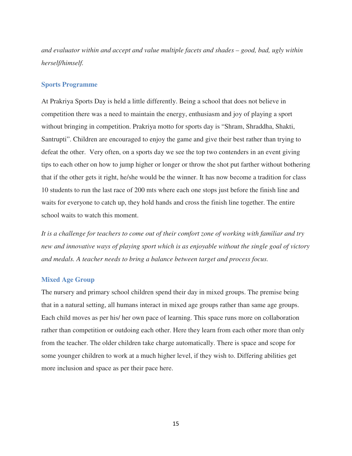*and evaluator within and accept and value multiple facets and shades – good, bad, ugly within herself/himself.* 

#### **Sports Programme**

At Prakriya Sports Day is held a little differently. Being a school that does not believe in competition there was a need to maintain the energy, enthusiasm and joy of playing a sport without bringing in competition. Prakriya motto for sports day is "Shram, Shraddha, Shakti, Santrupti". Children are encouraged to enjoy the game and give their best rather than trying to defeat the other. Very often, on a sports day we see the top two contenders in an event giving tips to each other on how to jump higher or longer or throw the shot put farther without bothering that if the other gets it right, he/she would be the winner. It has now become a tradition for class 10 students to run the last race of 200 mts where each one stops just before the finish line and waits for everyone to catch up, they hold hands and cross the finish line together. The entire school waits to watch this moment.

*It is a challenge for teachers to come out of their comfort zone of working with familiar and try new and innovative ways of playing sport which is as enjoyable without the single goal of victory and medals. A teacher needs to bring a balance between target and process focus.* 

#### **Mixed Age Group**

The nursery and primary school children spend their day in mixed groups. The premise being that in a natural setting, all humans interact in mixed age groups rather than same age groups. Each child moves as per his/ her own pace of learning. This space runs more on collaboration rather than competition or outdoing each other. Here they learn from each other more than only from the teacher. The older children take charge automatically. There is space and scope for some younger children to work at a much higher level, if they wish to. Differing abilities get more inclusion and space as per their pace here.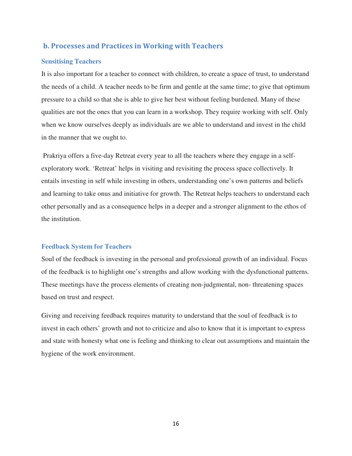# **b. Processes and Practices in Working with Teachers**

#### **Sensitising Teachers**

It is also important for a teacher to connect with children, to create a space of trust, to understand the needs of a child. A teacher needs to be firm and gentle at the same time; to give that optimum pressure to a child so that she is able to give her best without feeling burdened. Many of these qualities are not the ones that you can learn in a workshop. They require working with self. Only when we know ourselves deeply as individuals are we able to understand and invest in the child in the manner that we ought to.

 Prakriya offers a five-day Retreat every year to all the teachers where they engage in a selfexploratory work. 'Retreat' helps in visiting and revisiting the process space collectively. It entails investing in self while investing in others, understanding one's own patterns and beliefs and learning to take onus and initiative for growth. The Retreat helps teachers to understand each other personally and as a consequence helps in a deeper and a stronger alignment to the ethos of the institution.

#### **Feedback System for Teachers**

Soul of the feedback is investing in the personal and professional growth of an individual. Focus of the feedback is to highlight one's strengths and allow working with the dysfunctional patterns. These meetings have the process elements of creating non-judgmental, non- threatening spaces based on trust and respect.

Giving and receiving feedback requires maturity to understand that the soul of feedback is to invest in each others' growth and not to criticize and also to know that it is important to express and state with honesty what one is feeling and thinking to clear out assumptions and maintain the hygiene of the work environment.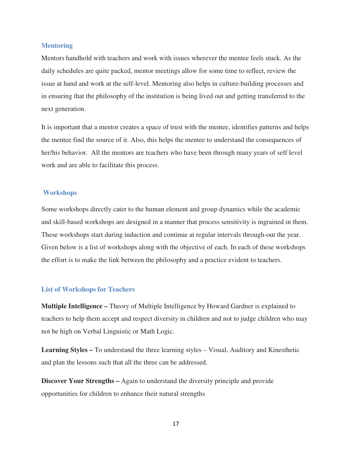#### **Mentoring**

Mentors handhold with teachers and work with issues wherever the mentee feels stuck. As the daily schedules are quite packed, mentor meetings allow for some time to reflect, review the issue at hand and work at the self-level. Mentoring also helps in culture-building processes and in ensuring that the philosophy of the institution is being lived out and getting transferred to the next generation.

It is important that a mentor creates a space of trust with the mentee, identifies patterns and helps the mentee find the source of it. Also, this helps the mentee to understand the consequences of her/his behavior. All the mentors are teachers who have been through many years of self level work and are able to facilitate this process.

#### **Workshops**

Some workshops directly cater to the human element and group dynamics while the academic and skill-based workshops are designed in a manner that process sensitivity is ingrained in them. These workshops start during induction and continue at regular intervals through-out the year. Given below is a list of workshops along with the objective of each. In each of these workshops the effort is to make the link between the philosophy and a practice evident to teachers.

#### **List of Workshops for Teachers**

**Multiple Intelligence –** Theory of Multiple Intelligence by Howard Gardner is explained to teachers to help them accept and respect diversity in children and not to judge children who may not be high on Verbal Linguistic or Math Logic.

**Learning Styles –** To understand the three learning styles – Visual, Auditory and Kinesthetic and plan the lessons such that all the three can be addressed.

**Discover Your Strengths –** Again to understand the diversity principle and provide opportunities for children to enhance their natural strengths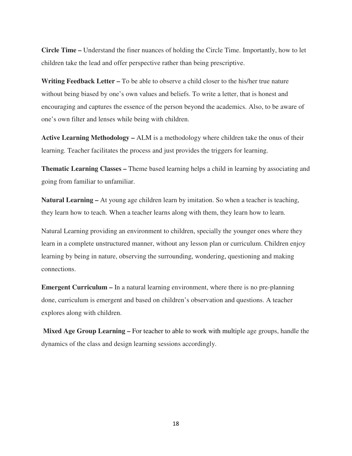**Circle Time –** Understand the finer nuances of holding the Circle Time. Importantly, how to let children take the lead and offer perspective rather than being prescriptive.

**Writing Feedback Letter –** To be able to observe a child closer to the his/her true nature without being biased by one's own values and beliefs. To write a letter, that is honest and encouraging and captures the essence of the person beyond the academics. Also, to be aware of one's own filter and lenses while being with children.

**Active Learning Methodology –** ALM is a methodology where children take the onus of their learning. Teacher facilitates the process and just provides the triggers for learning.

**Thematic Learning Classes –** Theme based learning helps a child in learning by associating and going from familiar to unfamiliar.

**Natural Learning –** At young age children learn by imitation. So when a teacher is teaching, they learn how to teach. When a teacher learns along with them, they learn how to learn.

Natural Learning providing an environment to children, specially the younger ones where they learn in a complete unstructured manner, without any lesson plan or curriculum. Children enjoy learning by being in nature, observing the surrounding, wondering, questioning and making connections.

**Emergent Curriculum –** In a natural learning environment, where there is no pre-planning done, curriculum is emergent and based on children's observation and questions. A teacher explores along with children.

**Mixed Age Group Learning –** For teacher to able to work with multiple age groups, handle the dynamics of the class and design learning sessions accordingly.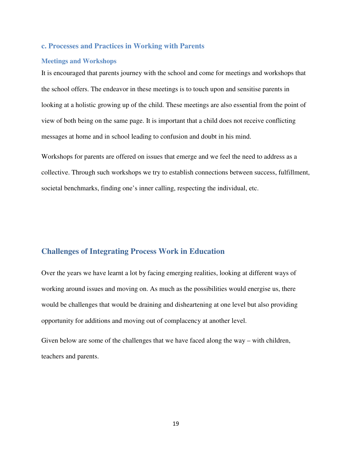#### **c. Processes and Practices in Working with Parents**

#### **Meetings and Workshops**

It is encouraged that parents journey with the school and come for meetings and workshops that the school offers. The endeavor in these meetings is to touch upon and sensitise parents in looking at a holistic growing up of the child. These meetings are also essential from the point of view of both being on the same page. It is important that a child does not receive conflicting messages at home and in school leading to confusion and doubt in his mind.

Workshops for parents are offered on issues that emerge and we feel the need to address as a collective. Through such workshops we try to establish connections between success, fulfillment, societal benchmarks, finding one's inner calling, respecting the individual, etc.

# **Challenges of Integrating Process Work in Education**

Over the years we have learnt a lot by facing emerging realities, looking at different ways of working around issues and moving on. As much as the possibilities would energise us, there would be challenges that would be draining and disheartening at one level but also providing opportunity for additions and moving out of complacency at another level.

Given below are some of the challenges that we have faced along the way – with children, teachers and parents.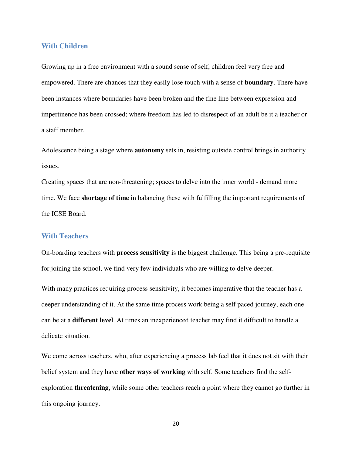#### **With Children**

Growing up in a free environment with a sound sense of self, children feel very free and empowered. There are chances that they easily lose touch with a sense of **boundary**. There have been instances where boundaries have been broken and the fine line between expression and impertinence has been crossed; where freedom has led to disrespect of an adult be it a teacher or a staff member.

Adolescence being a stage where **autonomy** sets in, resisting outside control brings in authority issues.

Creating spaces that are non-threatening; spaces to delve into the inner world - demand more time. We face **shortage of time** in balancing these with fulfilling the important requirements of the ICSE Board.

#### **With Teachers**

On-boarding teachers with **process sensitivity** is the biggest challenge. This being a pre-requisite for joining the school, we find very few individuals who are willing to delve deeper.

With many practices requiring process sensitivity, it becomes imperative that the teacher has a deeper understanding of it. At the same time process work being a self paced journey, each one can be at a **different level**. At times an inexperienced teacher may find it difficult to handle a delicate situation.

We come across teachers, who, after experiencing a process lab feel that it does not sit with their belief system and they have **other ways of working** with self. Some teachers find the selfexploration **threatening**, while some other teachers reach a point where they cannot go further in this ongoing journey.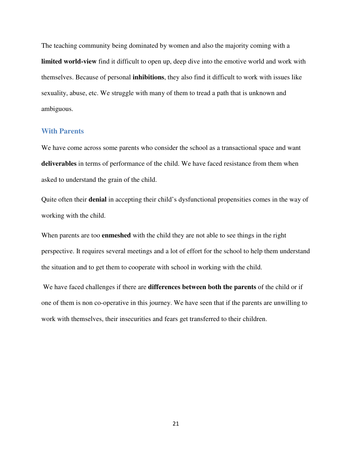The teaching community being dominated by women and also the majority coming with a **limited world-view** find it difficult to open up, deep dive into the emotive world and work with themselves. Because of personal **inhibitions**, they also find it difficult to work with issues like sexuality, abuse, etc. We struggle with many of them to tread a path that is unknown and ambiguous.

#### **With Parents**

We have come across some parents who consider the school as a transactional space and want **deliverables** in terms of performance of the child. We have faced resistance from them when asked to understand the grain of the child.

Quite often their **denial** in accepting their child's dysfunctional propensities comes in the way of working with the child.

When parents are too **enmeshed** with the child they are not able to see things in the right perspective. It requires several meetings and a lot of effort for the school to help them understand the situation and to get them to cooperate with school in working with the child.

 We have faced challenges if there are **differences between both the parents** of the child or if one of them is non co-operative in this journey. We have seen that if the parents are unwilling to work with themselves, their insecurities and fears get transferred to their children.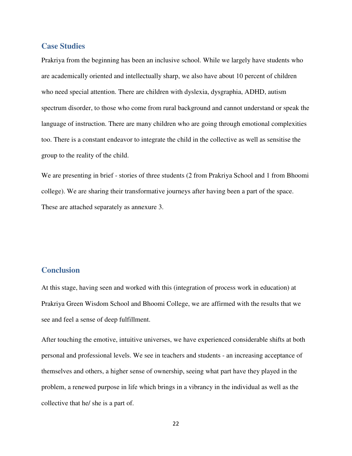## **Case Studies**

Prakriya from the beginning has been an inclusive school. While we largely have students who are academically oriented and intellectually sharp, we also have about 10 percent of children who need special attention. There are children with dyslexia, dysgraphia, ADHD, autism spectrum disorder, to those who come from rural background and cannot understand or speak the language of instruction. There are many children who are going through emotional complexities too. There is a constant endeavor to integrate the child in the collective as well as sensitise the group to the reality of the child.

We are presenting in brief - stories of three students (2 from Prakriya School and 1 from Bhoomi college). We are sharing their transformative journeys after having been a part of the space. These are attached separately as annexure 3.

# **Conclusion**

At this stage, having seen and worked with this (integration of process work in education) at Prakriya Green Wisdom School and Bhoomi College, we are affirmed with the results that we see and feel a sense of deep fulfillment.

After touching the emotive, intuitive universes, we have experienced considerable shifts at both personal and professional levels. We see in teachers and students - an increasing acceptance of themselves and others, a higher sense of ownership, seeing what part have they played in the problem, a renewed purpose in life which brings in a vibrancy in the individual as well as the collective that he/ she is a part of.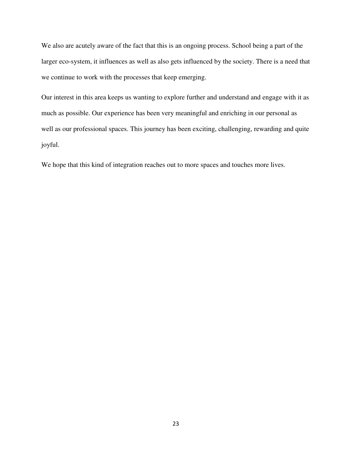We also are acutely aware of the fact that this is an ongoing process. School being a part of the larger eco-system, it influences as well as also gets influenced by the society. There is a need that we continue to work with the processes that keep emerging.

Our interest in this area keeps us wanting to explore further and understand and engage with it as much as possible. Our experience has been very meaningful and enriching in our personal as well as our professional spaces. This journey has been exciting, challenging, rewarding and quite joyful.

We hope that this kind of integration reaches out to more spaces and touches more lives.